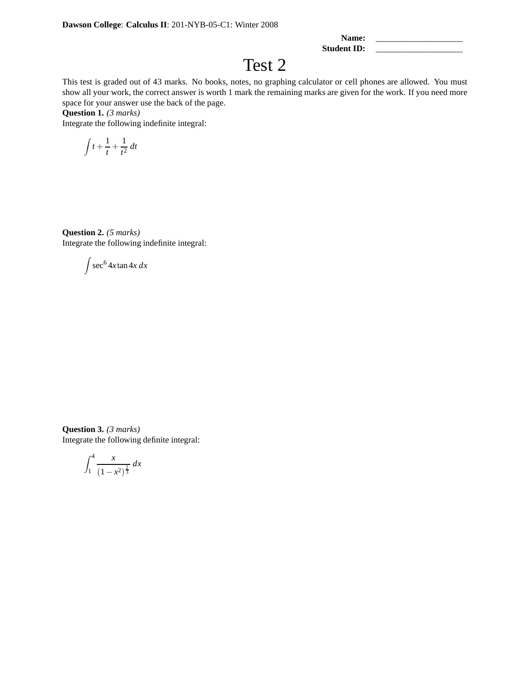| Name:       |  |
|-------------|--|
| Student ID: |  |

## Test 2

This test is graded out of 43 marks. No books, notes, no graphing calculator or cell phones are allowed. You must show all your work, the correct answer is worth 1 mark the remaining marks are given for the work. If you need more space for your answer use the back of the page.

**Question 1.** *(3 marks)*

Integrate the following indefinite integral:

$$
\int t + \frac{1}{t} + \frac{1}{t^2} dt
$$

**Question 2.** *(5 marks)* Integrate the following indefinite integral:

$$
\int \sec^6 4x \tan 4x \, dx
$$

**Question 3.** *(3 marks)* Integrate the following definite integral:

$$
\int_{1}^{4} \frac{x}{(1 - x^2)^{\frac{2}{3}}} \, dx
$$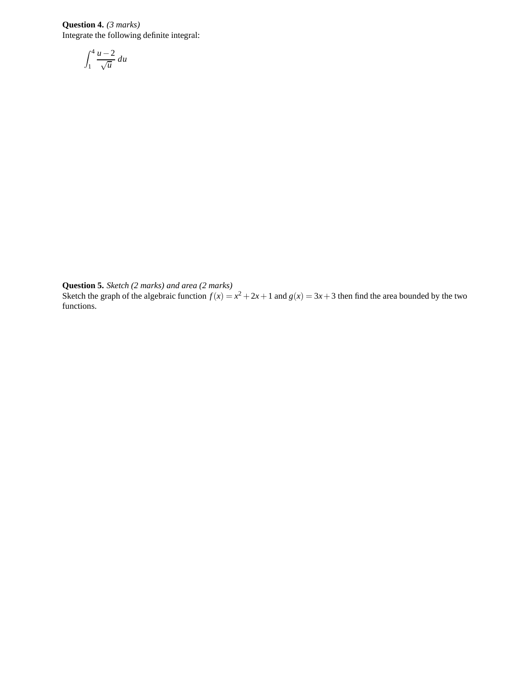**Question 4.** *(3 marks)* Integrate the following definite integral:

$$
\int_1^4 \frac{u-2}{\sqrt{u}} \, du
$$

**Question 5.** *Sketch (2 marks) and area (2 marks)*

Sketch the graph of the algebraic function  $f(x) = x^2 + 2x + 1$  and  $g(x) = 3x + 3$  then find the area bounded by the two functions.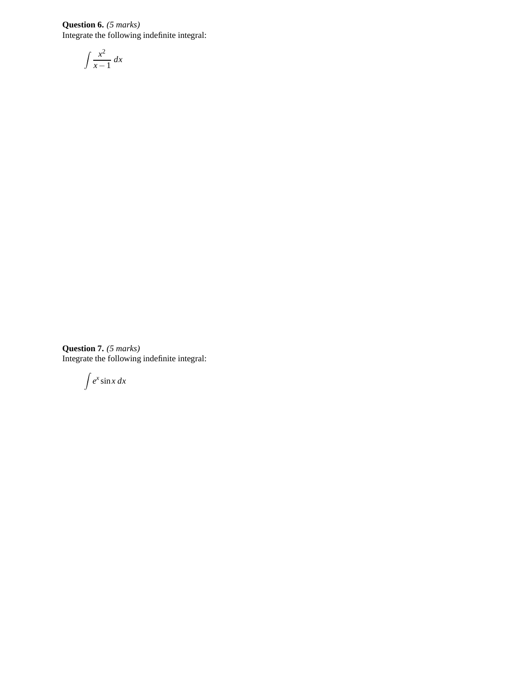**Question 6.** *(5 marks)* Integrate the following indefinite integral:

$$
\int \frac{x^2}{x-1} \, dx
$$

**Question 7.** *(5 marks)* Integrate the following indefinite integral:

 $\int e^x \sin x \, dx$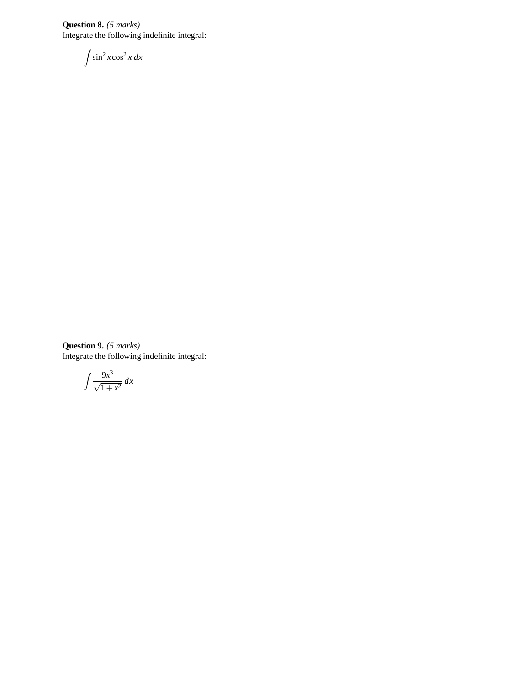**Question 8.** *(5 marks)* Integrate the following indefinite integral:

$$
\int \sin^2 x \cos^2 x \, dx
$$

**Question 9.** *(5 marks)* Integrate the following indefinite integral:

$$
\int \frac{9x^3}{\sqrt{1+x^2}} \, dx
$$